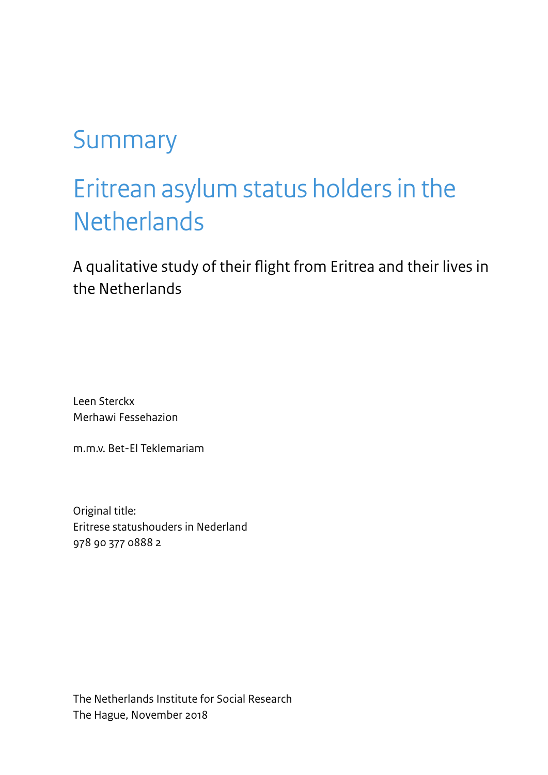# Summary

# Eritrean asylum status holders in the **Netherlands**

A qualitative study of their flight from Eritrea and their lives in the Netherlands

Leen Sterckx Merhawi Fessehazion

m.m.v. Bet-El Teklemariam

Original title: Eritrese statushouders in Nederland 978 90 377 0888 2

The Netherlands Institute for Social Research The Hague, November 2018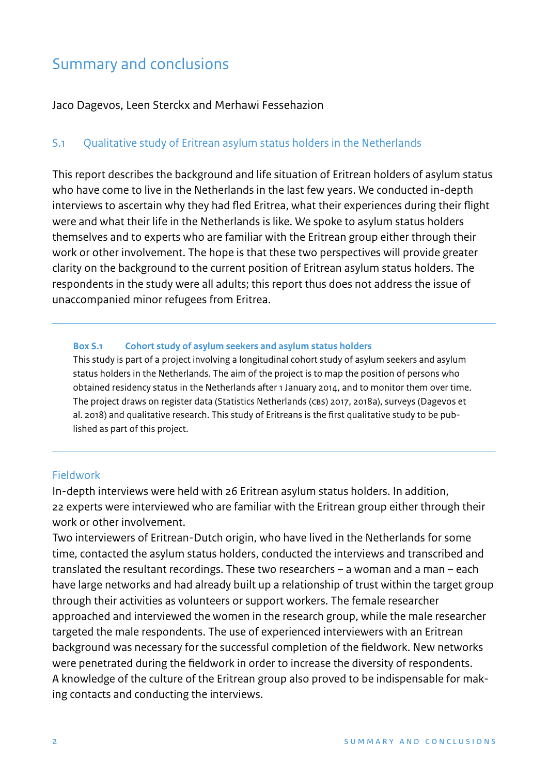# Summary and conclusions

Jaco Dagevos, Leen Sterckx and Merhawi Fessehazion

# S.1 Qualitative study of Eritrean asylum status holders in the Netherlands

This report describes the background and life situation of Eritrean holders of asylum status who have come to live in the Netherlands in the last few years. We conducted in-depth interviews to ascertain why they had fled Eritrea, what their experiences during their flight were and what their life in the Netherlands is like. We spoke to asylum status holders themselves and to experts who are familiar with the Eritrean group either through their work or other involvement. The hope is that these two perspectives will provide greater clarity on the background to the current position of Eritrean asylum status holders. The respondents in the study were all adults; this report thus does not address the issue of unaccompanied minor refugees from Eritrea.

#### **Box S.1 Cohort study of asylum seekers and asylum status holders**

This study is part of a project involving a longitudinal cohort study of asylum seekers and asylum status holders in the Netherlands. The aim of the project is to map the position of persons who obtained residency status in the Netherlands after 1 January 2014, and to monitor them over time. The project draws on register data (Statistics Netherlands (CBS) 2017, 2018a), surveys (Dagevos et al. 2018) and qualitative research. This study of Eritreans is the first qualitative study to be published as part of this project.

#### Fieldwork

In-depth interviews were held with 26 Eritrean asylum status holders. In addition, 22 experts were interviewed who are familiar with the Eritrean group either through their work or other involvement.

Two interviewers of Eritrean-Dutch origin, who have lived in the Netherlands for some time, contacted the asylum status holders, conducted the interviews and transcribed and translated the resultant recordings. These two researchers – a woman and a man – each have large networks and had already built up a relationship of trust within the target group through their activities as volunteers or support workers. The female researcher approached and interviewed the women in the research group, while the male researcher targeted the male respondents. The use of experienced interviewers with an Eritrean background was necessary for the successful completion of the fieldwork. New networks were penetrated during the fieldwork in order to increase the diversity of respondents. A knowledge of the culture of the Eritrean group also proved to be indispensable for making contacts and conducting the interviews.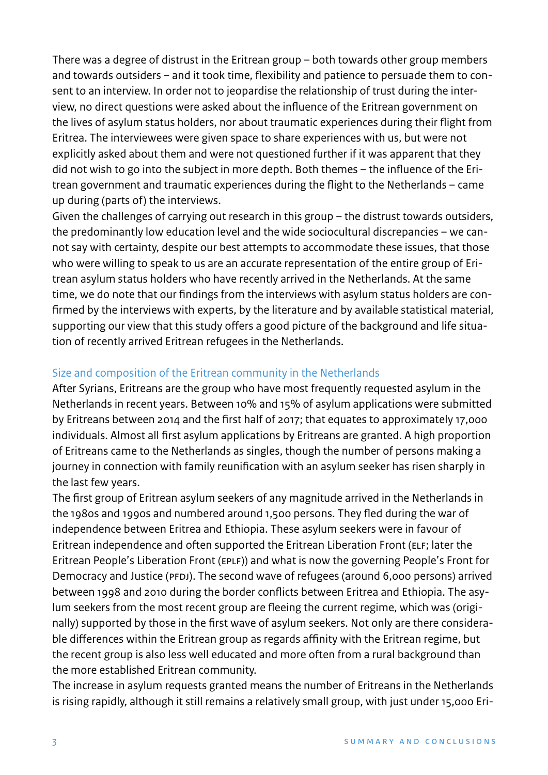There was a degree of distrust in the Eritrean group – both towards other group members and towards outsiders – and it took time, flexibility and patience to persuade them to consent to an interview. In order not to jeopardise the relationship of trust during the interview, no direct questions were asked about the influence of the Eritrean government on the lives of asylum status holders, nor about traumatic experiences during their flight from Eritrea. The interviewees were given space to share experiences with us, but were not explicitly asked about them and were not questioned further if it was apparent that they did not wish to go into the subject in more depth. Both themes – the influence of the Eritrean government and traumatic experiences during the flight to the Netherlands – came up during (parts of) the interviews.

Given the challenges of carrying out research in this group – the distrust towards outsiders, the predominantly low education level and the wide sociocultural discrepancies – we cannot say with certainty, despite our best attempts to accommodate these issues, that those who were willing to speak to us are an accurate representation of the entire group of Eritrean asylum status holders who have recently arrived in the Netherlands. At the same time, we do note that our findings from the interviews with asylum status holders are conrmed by the interviews with experts, by the literature and by available statistical material, supporting our view that this study offers a good picture of the background and life situation of recently arrived Eritrean refugees in the Netherlands.

### Size and composition of the Eritrean community in the Netherlands

After Syrians, Eritreans are the group who have most frequently requested asylum in the Netherlands in recent years. Between 10% and 15% of asylum applications were submitted by Eritreans between 2014 and the first half of 2017; that equates to approximately 17,000 individuals. Almost all first asylum applications by Eritreans are granted. A high proportion of Eritreans came to the Netherlands as singles, though the number of persons making a journey in connection with family reunification with an asylum seeker has risen sharply in the last few years.

The first group of Eritrean asylum seekers of any magnitude arrived in the Netherlands in the 1980s and 1990s and numbered around 1,500 persons. They fled during the war of independence between Eritrea and Ethiopia. These asylum seekers were in favour of Eritrean independence and often supported the Eritrean Liberation Front (eLf; later the Eritrean People's Liberation Front (ePLf)) and what is now the governing People's Front for Democracy and Justice (PFDJ). The second wave of refugees (around 6,000 persons) arrived between 1998 and 2010 during the border conflicts between Eritrea and Ethiopia. The asylum seekers from the most recent group are fleeing the current regime, which was (originally) supported by those in the first wave of asylum seekers. Not only are there considerable differences within the Eritrean group as regards affinity with the Eritrean regime, but the recent group is also less well educated and more often from a rural background than the more established Eritrean community.

The increase in asylum requests granted means the number of Eritreans in the Netherlands is rising rapidly, although it still remains a relatively small group, with just under 15,000 Eri-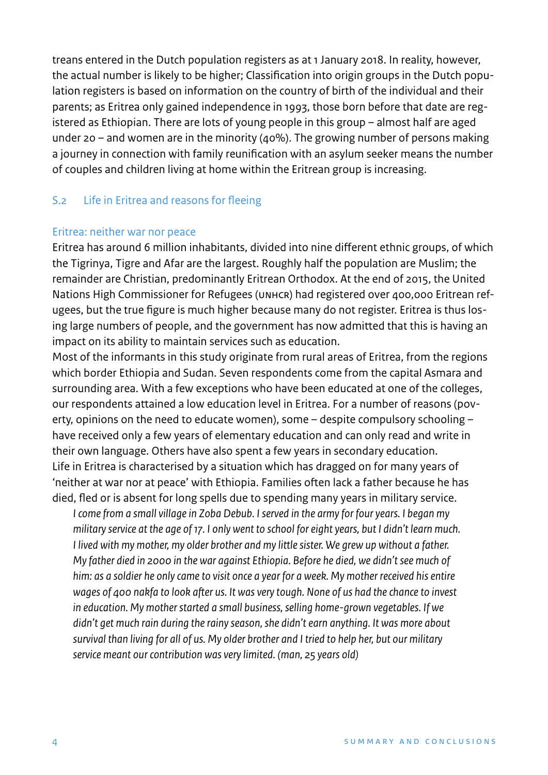treans entered in the Dutch population registers as at 1 January 2018. In reality, however, the actual number is likely to be higher; Classification into origin groups in the Dutch population registers is based on information on the country of birth of the individual and their parents; as Eritrea only gained independence in 1993, those born before that date are registered as Ethiopian. There are lots of young people in this group – almost half are aged under 20 – and women are in the minority (40%). The growing number of persons making a journey in connection with family reunification with an asylum seeker means the number of couples and children living at home within the Eritrean group is increasing.

### S.2 Life in Eritrea and reasons for fleeing

#### Eritrea: neither war nor peace

Eritrea has around 6 million inhabitants, divided into nine different ethnic groups, of which the Tigrinya, Tigre and Afar are the largest. Roughly half the population are Muslim; the remainder are Christian, predominantly Eritrean Orthodox. At the end of 2015, the United Nations High Commissioner for Refugees (UNHCR) had registered over 400,000 Eritrean refugees, but the true figure is much higher because many do not register. Eritrea is thus losing large numbers of people, and the government has now admitted that this is having an impact on its ability to maintain services such as education.

Most of the informants in this study originate from rural areas of Eritrea, from the regions which border Ethiopia and Sudan. Seven respondents come from the capital Asmara and surrounding area. With a few exceptions who have been educated at one of the colleges, our respondents attained a low education level in Eritrea. For a number of reasons (poverty, opinions on the need to educate women), some – despite compulsory schooling – have received only a few years of elementary education and can only read and write in their own language. Others have also spent a few years in secondary education. Life in Eritrea is characterised by a situation which has dragged on for many years of 'neither at war nor at peace' with Ethiopia. Families often lack a father because he has died, fled or is absent for long spells due to spending many years in military service.

*I come from a small village in Zoba Debub. I served in the army for four years. I began my military service at the age of 17. I only went to school for eight years, but I didn't learn much. I lived with my mother, my older brother and my little sister. We grew up without a father. My father died in 2000 in the war against Ethiopia. Before he died, we didn't see much of him: as a soldier he only came to visit once a year for a week. My mother received his entire wages of 400 nakfa to look after us. It was very tough. None of us had the chance to invest in education. My mother started a small business, selling home-grown vegetables. If we didn't get much rain during the rainy season, she didn't earn anything. It was more about survival than living for all of us. My older brother and I tried to help her, but our military service meant our contribution was very limited. (man, 25 years old)*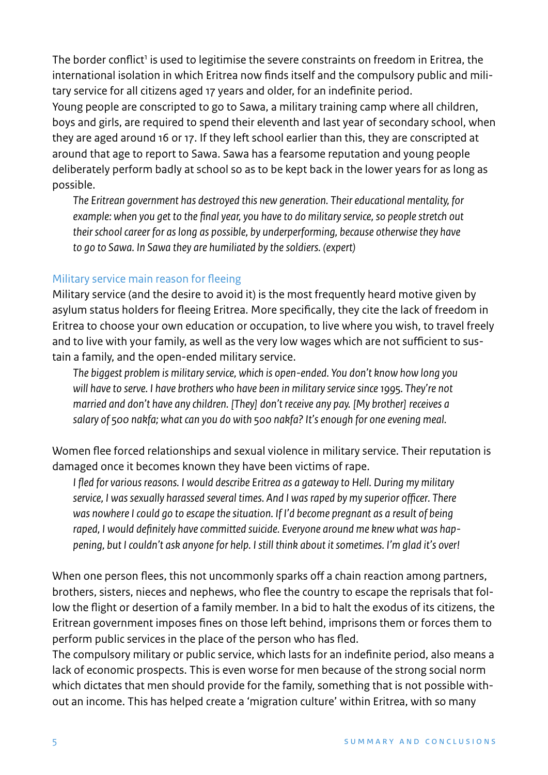The border conflict<sup>1</sup> is used to legitimise the severe constraints on freedom in Eritrea, the international isolation in which Eritrea now finds itself and the compulsory public and military service for all citizens aged 17 years and older, for an indefinite period. Young people are conscripted to go to Sawa, a military training camp where all children, boys and girls, are required to spend their eleventh and last year of secondary school, when they are aged around 16 or 17. If they left school earlier than this, they are conscripted at around that age to report to Sawa. Sawa has a fearsome reputation and young people deliberately perform badly at school so as to be kept back in the lower years for as long as possible.

*The Eritrean government has destroyed this new generation. Their educational mentality, for example: when you get to the final year, you have to do military service, so people stretch out their school career for as long as possible, by underperforming, because otherwise they have to go to Sawa. In Sawa they are humiliated by the soldiers. (expert)*

#### Military service main reason for fleeing

Military service (and the desire to avoid it) is the most frequently heard motive given by asylum status holders for fleeing Eritrea. More specifically, they cite the lack of freedom in Eritrea to choose your own education or occupation, to live where you wish, to travel freely and to live with your family, as well as the very low wages which are not sufficient to sustain a family, and the open-ended military service.

*The biggest problem is military service, which is open-ended. You don't know how long you will have to serve. I have brothers who have been in military service since 1995. They're not married and don't have any children. [They] don't receive any pay. [My brother] receives a salary of 500 nakfa; what can you do with 500 nakfa? It's enough for one evening meal.*

Women flee forced relationships and sexual violence in military service. Their reputation is damaged once it becomes known they have been victims of rape.

*I fled for various reasons. I would describe Eritrea as a gateway to Hell. During my military service, I was sexually harassed several times. And I was raped by my superior officer. There was nowhere I could go to escape the situation. If I'd become pregnant as a result of being raped, I would definitely have committed suicide. Everyone around me knew what was happening, but I couldn't ask anyone for help. I still think about it sometimes. I'm glad it's over!*

When one person flees, this not uncommonly sparks off a chain reaction among partners, brothers, sisters, nieces and nephews, who flee the country to escape the reprisals that follow the flight or desertion of a family member. In a bid to halt the exodus of its citizens, the Eritrean government imposes fines on those left behind, imprisons them or forces them to perform public services in the place of the person who has fled.

The compulsory military or public service, which lasts for an indefinite period, also means a lack of economic prospects. This is even worse for men because of the strong social norm which dictates that men should provide for the family, something that is not possible without an income. This has helped create a 'migration culture' within Eritrea, with so many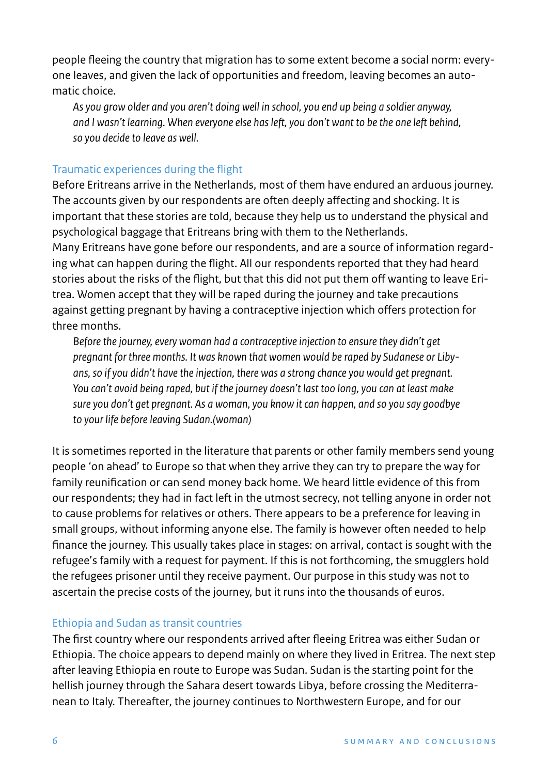people fleeing the country that migration has to some extent become a social norm: everyone leaves, and given the lack of opportunities and freedom, leaving becomes an automatic choice.

*As you grow older and you aren't doing well in school, you end up being a soldier anyway, and I wasn't learning. When everyone else has left, you don't want to be the one left behind, so you decide to leave as well.*

# Traumatic experiences during the flight

Before Eritreans arrive in the Netherlands, most of them have endured an arduous journey. The accounts given by our respondents are often deeply affecting and shocking. It is important that these stories are told, because they help us to understand the physical and psychological baggage that Eritreans bring with them to the Netherlands.

Many Eritreans have gone before our respondents, and are a source of information regarding what can happen during the flight. All our respondents reported that they had heard stories about the risks of the flight, but that this did not put them off wanting to leave Eritrea. Women accept that they will be raped during the journey and take precautions against getting pregnant by having a contraceptive injection which offers protection for three months.

*Before the journey, every woman had a contraceptive injection to ensure they didn't get pregnant for three months. It was known that women would be raped by Sudanese or Libyans, so if you didn't have the injection, there was a strong chance you would get pregnant. You can't avoid being raped, but if the journey doesn't last too long, you can at least make sure you don't get pregnant. As a woman, you know it can happen, and so you say goodbye to your life before leaving Sudan.(woman)*

It is sometimes reported in the literature that parents or other family members send young people 'on ahead' to Europe so that when they arrive they can try to prepare the way for family reunification or can send money back home. We heard little evidence of this from our respondents; they had in fact left in the utmost secrecy, not telling anyone in order not to cause problems for relatives or others. There appears to be a preference for leaving in small groups, without informing anyone else. The family is however often needed to help nance the journey. This usually takes place in stages: on arrival, contact is sought with the refugee's family with a request for payment. If this is not forthcoming, the smugglers hold the refugees prisoner until they receive payment. Our purpose in this study was not to ascertain the precise costs of the journey, but it runs into the thousands of euros.

# Ethiopia and Sudan as transit countries

The first country where our respondents arrived after fleeing Eritrea was either Sudan or Ethiopia. The choice appears to depend mainly on where they lived in Eritrea. The next step after leaving Ethiopia en route to Europe was Sudan. Sudan is the starting point for the hellish journey through the Sahara desert towards Libya, before crossing the Mediterranean to Italy. Thereafter, the journey continues to Northwestern Europe, and for our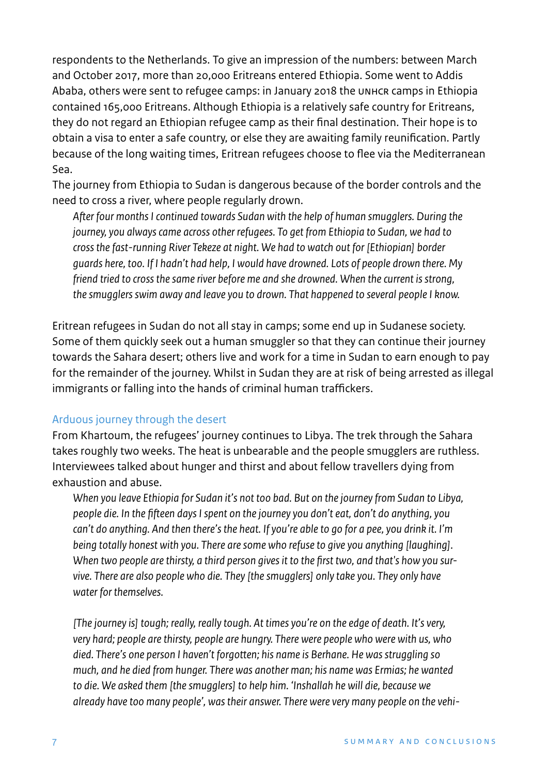respondents to the Netherlands. To give an impression of the numbers: between March and October 2017, more than 20,000 Eritreans entered Ethiopia. Some went to Addis Ababa, others were sent to refugee camps: in January 2018 the UNHCR camps in Ethiopia contained 165,000 Eritreans. Although Ethiopia is a relatively safe country for Eritreans, they do not regard an Ethiopian refugee camp as their final destination. Their hope is to obtain a visa to enter a safe country, or else they are awaiting family reunification. Partly because of the long waiting times, Eritrean refugees choose to flee via the Mediterranean Sea.

The journey from Ethiopia to Sudan is dangerous because of the border controls and the need to cross a river, where people regularly drown.

*After four months I continued towards Sudan with the help of human smugglers. During the journey, you always came across other refugees. To get from Ethiopia to Sudan, we had to cross the fast-running River Tekeze at night. We had to watch out for [Ethiopian] border guards here, too. If I hadn't had help, I would have drowned. Lots of people drown there. My friend tried to cross the same river before me and she drowned. When the current is strong, the smugglers swim away and leave you to drown. That happened to several people I know.*

Eritrean refugees in Sudan do not all stay in camps; some end up in Sudanese society. Some of them quickly seek out a human smuggler so that they can continue their journey towards the Sahara desert; others live and work for a time in Sudan to earn enough to pay for the remainder of the journey. Whilst in Sudan they are at risk of being arrested as illegal immigrants or falling into the hands of criminal human traffickers.

#### Arduous journey through the desert

From Khartoum, the refugees' journey continues to Libya. The trek through the Sahara takes roughly two weeks. The heat is unbearable and the people smugglers are ruthless. Interviewees talked about hunger and thirst and about fellow travellers dying from exhaustion and abuse.

*When you leave Ethiopia for Sudan it's not too bad. But on the journey from Sudan to Libya, people die. In the fifteen days I spent on the journey you don't eat, don't do anything, you can't do anything. And then there's the heat. If you're able to go for a pee, you drink it. I'm being totally honest with you. There are some who refuse to give you anything [laughing]. When two people are thirsty, a third person gives it to the first two, and that's how you survive. There are also people who die. They [the smugglers] only take you. They only have water for themselves.*

*[The journey is] tough; really, really tough. At times you're on the edge of death. It's very, very hard; people are thirsty, people are hungry. There were people who were with us, who died. There's one person I haven't forgotten; his name is Berhane. He was struggling so much, and he died from hunger. There was another man; his name was Ermias; he wanted to die. We asked them [the smugglers] to help him. 'Inshallah he will die, because we already have too many people', was their answer. There were very many people on the vehi-*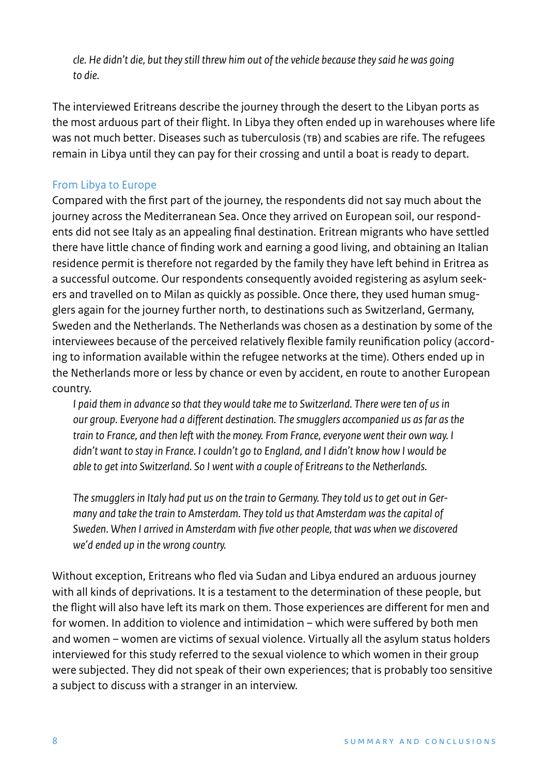*cle. He didn't die, but they still threw him out of the vehicle because they said he was going to die.* 

The interviewed Eritreans describe the journey through the desert to the Libyan ports as the most arduous part of their flight. In Libya they often ended up in warehouses where life was not much better. Diseases such as tuberculosis (TB) and scabies are rife. The refugees remain in Libya until they can pay for their crossing and until a boat is ready to depart.

# From Libya to Europe

Compared with the first part of the journey, the respondents did not say much about the journey across the Mediterranean Sea. Once they arrived on European soil, our respondents did not see Italy as an appealing final destination. Eritrean migrants who have settled there have little chance of finding work and earning a good living, and obtaining an Italian residence permit is therefore not regarded by the family they have left behind in Eritrea as a successful outcome. Our respondents consequently avoided registering as asylum seekers and travelled on to Milan as quickly as possible. Once there, they used human smugglers again for the journey further north, to destinations such as Switzerland, Germany, Sweden and the Netherlands. The Netherlands was chosen as a destination by some of the interviewees because of the perceived relatively flexible family reunification policy (according to information available within the refugee networks at the time). Others ended up in the Netherlands more or less by chance or even by accident, en route to another European country.

*I paid them in advance so that they would take me to Switzerland. There were ten of us in* our group. Everyone had a different destination. The smugglers accompanied us as far as the *train to France, and then left with the money. From France, everyone went their own way. I didn't want to stay in France. I couldn't go to England, and I didn't know how I would be able to get into Switzerland. So I went with a couple of Eritreans to the Netherlands.*

*The smugglers in Italy had put us on the train to Germany. They told us to get out in Germany and take the train to Amsterdam. They told us that Amsterdam was the capital of Sweden. When I arrived in Amsterdam with five other people, that was when we discovered we'd ended up in the wrong country.*

Without exception, Eritreans who fled via Sudan and Libya endured an arduous journey with all kinds of deprivations. It is a testament to the determination of these people, but the flight will also have left its mark on them. Those experiences are different for men and for women. In addition to violence and intimidation – which were suffered by both men and women – women are victims of sexual violence. Virtually all the asylum status holders interviewed for this study referred to the sexual violence to which women in their group were subjected. They did not speak of their own experiences; that is probably too sensitive a subject to discuss with a stranger in an interview.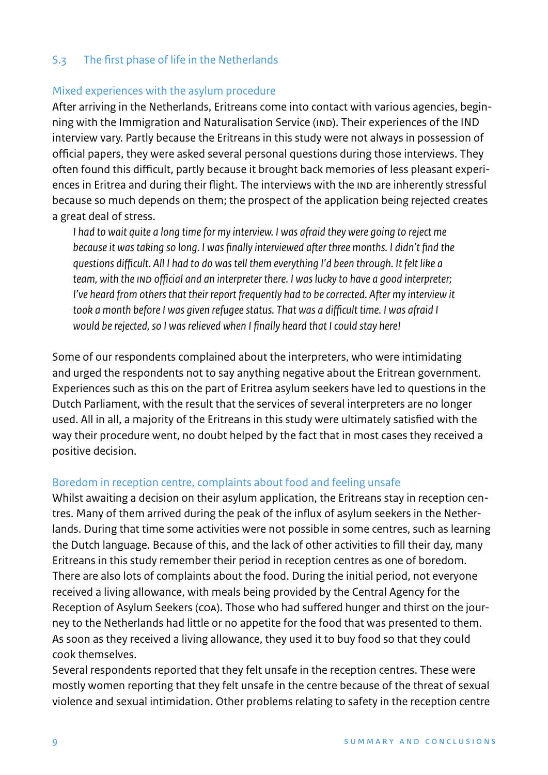# S.3 The first phase of life in the Netherlands

#### Mixed experiences with the asylum procedure

After arriving in the Netherlands, Eritreans come into contact with various agencies, beginning with the Immigration and Naturalisation Service (IND). Their experiences of the IND interview vary. Partly because the Eritreans in this study were not always in possession of official papers, they were asked several personal questions during those interviews. They often found this difficult, partly because it brought back memories of less pleasant experiences in Eritrea and during their flight. The interviews with the IND are inherently stressful because so much depends on them; the prospect of the application being rejected creates a great deal of stress.

*I had to wait quite a long time for my interview. I was afraid they were going to reject me because it was taking so long. I was finally interviewed after three months[. I](https://nl.wiktionary.org/wiki/geïnterviewd) didn't find the questions difficult. All I had to do was tell them everything I'd been through. It felt like a team, with the IND official and an interpreter there. I was lucky to have a good interpreter; I've heard from others that their report frequently had to be corrected. After my interview it took a month before I was given refugee status. That was a difficult time. I was afraid I would be rejected, so I was relieved when I finally heard that I could stay here!*

Some of our respondents complained about the interpreters, who were intimidating and urged the respondents not to say anything negative about the Eritrean government. Experiences such as this on the part of Eritrea asylum seekers have led to questions in the Dutch Parliament, with the result that the services of several interpreters are no longer used. All in all, a majority of the Eritreans in this study were ultimately satisfied with the way their procedure went, no doubt helped by the fact that in most cases they received a positive decision.

#### Boredom in reception centre, complaints about food and feeling unsafe

Whilst awaiting a decision on their asylum application, the Eritreans stay in reception centres. Many of them arrived during the peak of the influx of asylum seekers in the Netherlands. During that time some activities were not possible in some centres, such as learning the Dutch language. Because of this, and the lack of other activities to fill their day, many Eritreans in this study remember their period in reception centres as one of boredom. There are also lots of complaints about the food. During the initial period, not everyone received a living allowance, with meals being provided by the Central Agency for the Reception of Asylum Seekers (COA). Those who had suffered hunger and thirst on the journey to the Netherlands had little or no appetite for the food that was presented to them. As soon as they received a living allowance, they used it to buy food so that they could cook themselves.

Several respondents reported that they felt unsafe in the reception centres. These were mostly women reporting that they felt unsafe in the centre because of the threat of sexual violence and sexual intimidation. Other problems relating to safety in the reception centre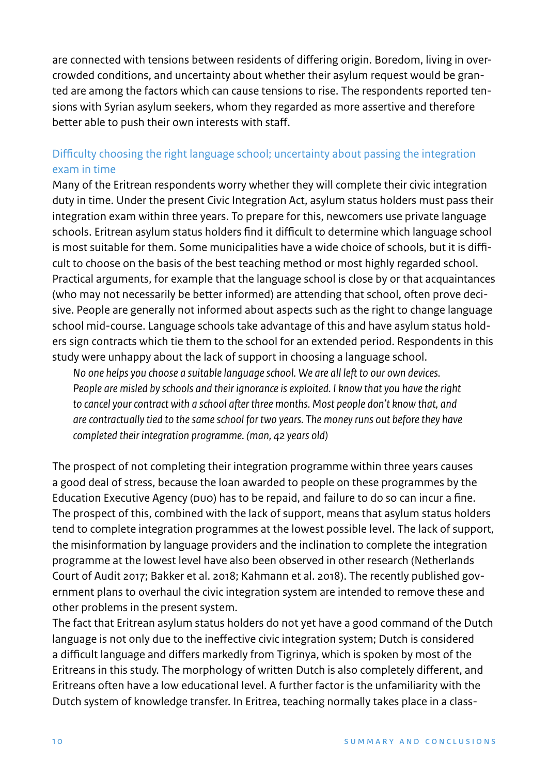are connected with tensions between residents of differing origin. Boredom, living in overcrowded conditions, and uncertainty about whether their asylum request would be granted are among the factors which can cause tensions to rise. The respondents reported tensions with Syrian asylum seekers, whom they regarded as more assertive and therefore better able to push their own interests with staff.

# Difficulty choosing the right language school; uncertainty about passing the integration exam in time

Many of the Eritrean respondents worry whether they will complete their civic integration duty in time. Under the present Civic Integration Act, asylum status holders must pass their integration exam within three years. To prepare for this, newcomers use private language schools. Eritrean asylum status holders find it difficult to determine which language school is most suitable for them. Some municipalities have a wide choice of schools, but it is difficult to choose on the basis of the best teaching method or most highly regarded school. Practical arguments, for example that the language school is close by or that acquaintances (who may not necessarily be better informed) are attending that school, often prove decisive. People are generally not informed about aspects such as the right to change language school mid-course. Language schools take advantage of this and have asylum status holders sign contracts which tie them to the school for an extended period. Respondents in this study were unhappy about the lack of support in choosing a language school.

*No one helps you choose a suitable language school. We are all left to our own devices. People are misled by schools and their ignorance is exploited. I know that you have the right to cancel your contract with a school after three months. Most people don't know that, and are contractually tied to the same school for two years. The money runs out before they have completed their integration programme. (man, 42 years old)*

The prospect of not completing their integration programme within three years causes a good deal of stress, because the loan awarded to people on these programmes by the Education Executive Agency (DUO) has to be repaid, and failure to do so can incur a fine. The prospect of this, combined with the lack of support, means that asylum status holders tend to complete integration programmes at the lowest possible level. The lack of support, the misinformation by language providers and the inclination to complete the integration programme at the lowest level have also been observed in other research (Netherlands Court of Audit 2017; Bakker et al. 2018; Kahmann et al. 2018). The recently published government plans to overhaul the civic integration system are intended to remove these and other problems in the present system.

The fact that Eritrean asylum status holders do not yet have a good command of the Dutch language is not only due to the ineffective civic integration system; Dutch is considered a difficult language and differs markedly from Tigrinya, which is spoken by most of the Eritreans in this study. The morphology of written Dutch is also completely different, and Eritreans often have a low educational level. A further factor is the unfamiliarity with the Dutch system of knowledge transfer. In Eritrea, teaching normally takes place in a class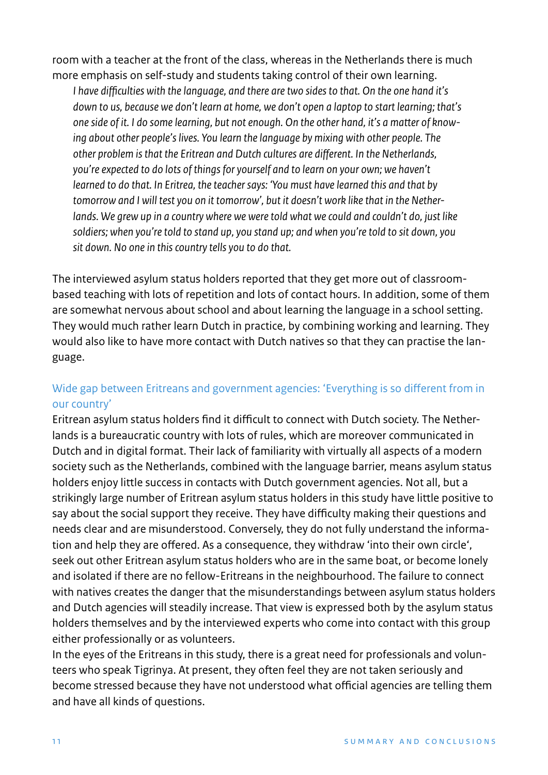room with a teacher at the front of the class, whereas in the Netherlands there is much more emphasis on self-study and students taking control of their own learning.

*I have difficulties with the language, and there are two sides to that. On the one hand it's down to us, because we don't learn at home, we don't open a laptop to start learning; that's one side of it. I do some learning, but not enough. On the other hand, it's a matter of knowing about other people's lives. You learn the language by mixing with other people. The* other problem is that the Eritrean and Dutch cultures are different. In the Netherlands, *you're expected to do lots of things for yourself and to learn on your own; we haven't learned to do that. In Eritrea, the teacher says: 'You must have learned this and that by tomorrow and I will test you on it tomorrow', but it doesn't work like that in the Netherlands. We grew up in a country where we were told what we could and couldn't do, just like soldiers; when you're told to stand up, you stand up; and when you're told to sit down, you sit down. No one in this country tells you to do that.*

The interviewed asylum status holders reported that they get more out of classroombased teaching with lots of repetition and lots of contact hours. In addition, some of them are somewhat nervous about school and about learning the language in a school setting. They would much rather learn Dutch in practice, by combining working and learning. They would also like to have more contact with Dutch natives so that they can practise the language.

# Wide gap between Eritreans and government agencies: 'Everything is so different from in our country'

Eritrean asylum status holders find it difficult to connect with Dutch society. The Netherlands is a bureaucratic country with lots of rules, which are moreover communicated in Dutch and in digital format. Their lack of familiarity with virtually all aspects of a modern society such as the Netherlands, combined with the language barrier, means asylum status holders enjoy little success in contacts with Dutch government agencies. Not all, but a strikingly large number of Eritrean asylum status holders in this study have little positive to say about the social support they receive. They have difficulty making their questions and needs clear and are misunderstood. Conversely, they do not fully understand the information and help they are offered. As a consequence, they withdraw 'into their own circle', seek out other Eritrean asylum status holders who are in the same boat, or become lonely and isolated if there are no fellow-Eritreans in the neighbourhood. The failure to connect with natives creates the danger that the misunderstandings between asylum status holders and Dutch agencies will steadily increase. That view is expressed both by the asylum status holders themselves and by the interviewed experts who come into contact with this group either professionally or as volunteers.

In the eyes of the Eritreans in this study, there is a great need for professionals and volunteers who speak Tigrinya. At present, they often feel they are not taken seriously and become stressed because they have not understood what official agencies are telling them and have all kinds of questions.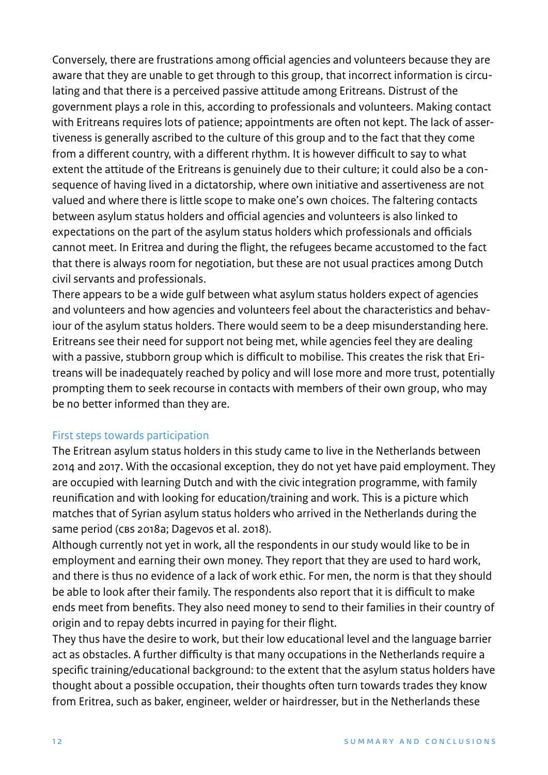Conversely, there are frustrations among official agencies and volunteers because they are aware that they are unable to get through to this group, that incorrect information is circulating and that there is a perceived passive attitude among Eritreans. Distrust of the government plays a role in this, according to professionals and volunteers. Making contact with Eritreans requires lots of patience; appointments are often not kept. The lack of assertiveness is generally ascribed to the culture of this group and to the fact that they come from a different country, with a different rhythm. It is however difficult to say to what extent the attitude of the Eritreans is genuinely due to their culture; it could also be a consequence of having lived in a dictatorship, where own initiative and assertiveness are not valued and where there is little scope to make one's own choices. The faltering contacts between asylum status holders and official agencies and volunteers is also linked to expectations on the part of the asylum status holders which professionals and officials cannot meet. In Eritrea and during the flight, the refugees became accustomed to the fact that there is always room for negotiation, but these are not usual practices among Dutch civil servants and professionals.

There appears to be a wide gulf between what asylum status holders expect of agencies and volunteers and how agencies and volunteers feel about the characteristics and behaviour of the asylum status holders. There would seem to be a deep misunderstanding here. Eritreans see their need for support not being met, while agencies feel they are dealing with a passive, stubborn group which is difficult to mobilise. This creates the risk that Eritreans will be inadequately reached by policy and will lose more and more trust, potentially prompting them to seek recourse in contacts with members of their own group, who may be no better informed than they are.

#### First steps towards participation

The Eritrean asylum status holders in this study came to live in the Netherlands between 2014 and 2017. With the occasional exception, they do not yet have paid employment. They are occupied with learning Dutch and with the civic integration programme, with family reunification and with looking for education/training and work. This is a picture which matches that of Syrian asylum status holders who arrived in the Netherlands during the same period (CBS 2018a; Dagevos et al. 2018).

Although currently not yet in work, all the respondents in our study would like to be in employment and earning their own money. They report that they are used to hard work, and there is thus no evidence of a lack of work ethic. For men, the norm is that they should be able to look after their family. The respondents also report that it is difficult to make ends meet from benefits. They also need money to send to their families in their country of origin and to repay debts incurred in paying for their flight.

They thus have the desire to work, but their low educational level and the language barrier act as obstacles. A further difficulty is that many occupations in the Netherlands require a specific training/educational background: to the extent that the asylum status holders have thought about a possible occupation, their thoughts often turn towards trades they know from Eritrea, such as baker, engineer, welder or hairdresser, but in the Netherlands these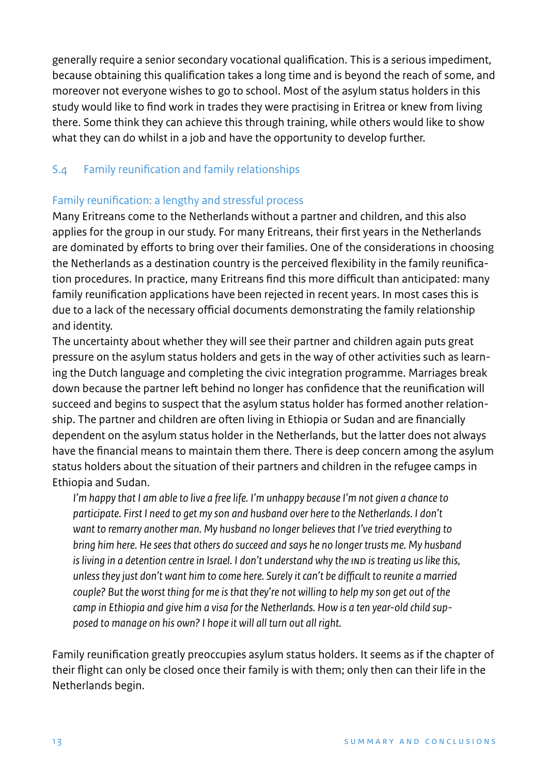generally require a senior secondary vocational qualification. This is a serious impediment, because obtaining this qualification takes a long time and is beyond the reach of some, and moreover not everyone wishes to go to school. Most of the asylum status holders in this study would like to find work in trades they were practising in Eritrea or knew from living there. Some think they can achieve this through training, while others would like to show what they can do whilst in a job and have the opportunity to develop further.

# S.4 Family reunification and family relationships

# Family reunification: a lengthy and stressful process

Many Eritreans come to the Netherlands without a partner and children, and this also applies for the group in our study. For many Eritreans, their first years in the Netherlands are dominated by efforts to bring over their families. One of the considerations in choosing the Netherlands as a destination country is the perceived flexibility in the family reunification procedures. In practice, many Eritreans find this more difficult than anticipated: many family reunification applications have been rejected in recent years. In most cases this is due to a lack of the necessary official documents demonstrating the family relationship and identity.

The uncertainty about whether they will see their partner and children again puts great pressure on the asylum status holders and gets in the way of other activities such as learning the Dutch language and completing the civic integration programme. Marriages break down because the partner left behind no longer has confidence that the reunification will succeed and begins to suspect that the asylum status holder has formed another relationship. The partner and children are often living in Ethiopia or Sudan and are financially dependent on the asylum status holder in the Netherlands, but the latter does not always have the financial means to maintain them there. There is deep concern among the asylum status holders about the situation of their partners and children in the refugee camps in Ethiopia and Sudan.

*I'm happy that I am able to live a free life. I'm unhappy because I'm not given a chance to participate. First I need to get my son and husband over here to the Netherlands. I don't want to remarry another man. My husband no longer believes that I've tried everything to bring him here. He sees that others do succeed and says he no longer trusts me. My husband is living in a detention centre in Israel. I don't understand why the IND is treating us like this, unless they just don't want him to come here. Surely it can't be difficult to reunite a married couple? But the worst thing for me is that they're not willing to help my son get out of the camp in Ethiopia and give him a visa for the Netherlands. How is a ten year-old child supposed to manage on his own? I hope it will all turn out all right.*

Family reunification greatly preoccupies asylum status holders. It seems as if the chapter of their flight can only be closed once their family is with them; only then can their life in the Netherlands begin.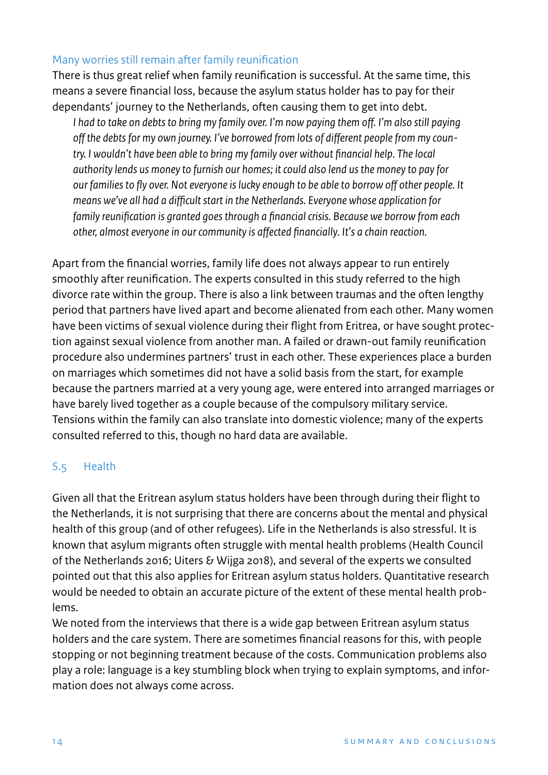# Many worries still remain after family reunification

There is thus great relief when family reunification is successful. At the same time, this means a severe financial loss, because the asylum status holder has to pay for their dependants' journey to the Netherlands, often causing them to get into debt.

*I had to take on debts to bring my family over. I'm now paying them off. I'm also still paying* off the debts for my own journey. I've borrowed from lots of different people from my coun*try. I wouldn't have been able to bring my family over without financial help. The local authority lends us money to furnish our homes; it could also lend us the money to pay for* our families to fly over. Not everyone is lucky enough to be able to borrow off other people. It *means we've all had a difficult start in the Netherlands. Everyone whose application for family reunification is granted goes through a financial crisis. Because we borrow from each other, almost everyone in our community is aected financially. It's a chain reaction.*

Apart from the financial worries, family life does not always appear to run entirely smoothly after reunification. The experts consulted in this study referred to the high divorce rate within the group. There is also a link between traumas and the often lengthy period that partners have lived apart and become alienated from each other. Many women have been victims of sexual violence during their flight from Eritrea, or have sought protection against sexual violence from another man. A failed or drawn-out family reunification procedure also undermines partners' trust in each other. These experiences place a burden on marriages which sometimes did not have a solid basis from the start, for example because the partners married at a very young age, were entered into arranged marriages or have barely lived together as a couple because of the compulsory military service. Tensions within the family can also translate into domestic violence; many of the experts consulted referred to this, though no hard data are available.

# S.5 Health

Given all that the Eritrean asylum status holders have been through during their flight to the Netherlands, it is not surprising that there are concerns about the mental and physical health of this group (and of other refugees). Life in the Netherlands is also stressful. It is known that asylum migrants often struggle with mental health problems (Health Council of the Netherlands 2016; Uiters & Wijga 2018), and several of the experts we consulted pointed out that this also applies for Eritrean asylum status holders. Quantitative research would be needed to obtain an accurate picture of the extent of these mental health problems.

We noted from the interviews that there is a wide gap between Eritrean asylum status holders and the care system. There are sometimes financial reasons for this, with people stopping or not beginning treatment because of the costs. Communication problems also play a role: language is a key stumbling block when trying to explain symptoms, and information does not always come across.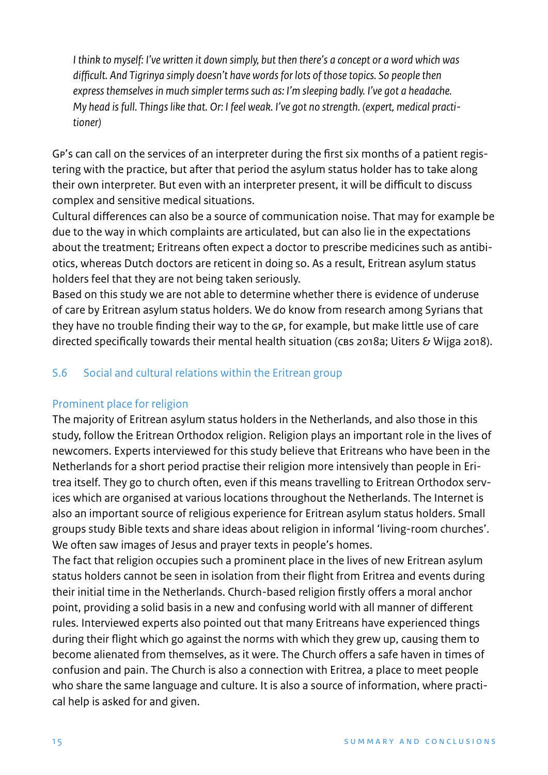*I think to myself: I've written it down simply, but then there's a concept or a word which was difficult. And Tigrinya simply doesn't have words for lots of those topics. So people then express themselves in much simpler terms such as: I'm sleeping badly. I've got a headache. My head is full. Things like that. Or: I feel weak. I've got no strength. (expert, medical practitioner)*

GP's can call on the services of an interpreter during the first six months of a patient registering with the practice, but after that period the asylum status holder has to take along their own interpreter. But even with an interpreter present, it will be difficult to discuss complex and sensitive medical situations.

Cultural differences can also be a source of communication noise. That may for example be due to the way in which complaints are articulated, but can also lie in the expectations about the treatment; Eritreans often expect a doctor to prescribe medicines such as antibiotics, whereas Dutch doctors are reticent in doing so. As a result, Eritrean asylum status holders feel that they are not being taken seriously.

Based on this study we are not able to determine whether there is evidence of underuse of care by Eritrean asylum status holders. We do know from research among Syrians that they have no trouble finding their way to the GP, for example, but make little use of care directed specifically towards their mental health situation (CBS 2018a; Uiters & Wijga 2018).

# S.6 Social and cultural relations within the Eritrean group

#### Prominent place for religion

The majority of Eritrean asylum status holders in the Netherlands, and also those in this study, follow the Eritrean Orthodox religion. Religion plays an important role in the lives of newcomers. Experts interviewed for this study believe that Eritreans who have been in the Netherlands for a short period practise their religion more intensively than people in Eritrea itself. They go to church often, even if this means travelling to Eritrean Orthodox services which are organised at various locations throughout the Netherlands. The Internet is also an important source of religious experience for Eritrean asylum status holders. Small groups study Bible texts and share ideas about religion in informal 'living-room churches'. We often saw images of Jesus and prayer texts in people's homes.

The fact that religion occupies such a prominent place in the lives of new Eritrean asylum status holders cannot be seen in isolation from their flight from Eritrea and events during their initial time in the Netherlands. Church-based religion firstly offers a moral anchor point, providing a solid basis in a new and confusing world with all manner of different rules. Interviewed experts also pointed out that many Eritreans have experienced things during their flight which go against the norms with which they grew up, causing them to become alienated from themselves, as it were. The Church offers a safe haven in times of confusion and pain. The Church is also a connection with Eritrea, a place to meet people who share the same language and culture. It is also a source of information, where practical help is asked for and given.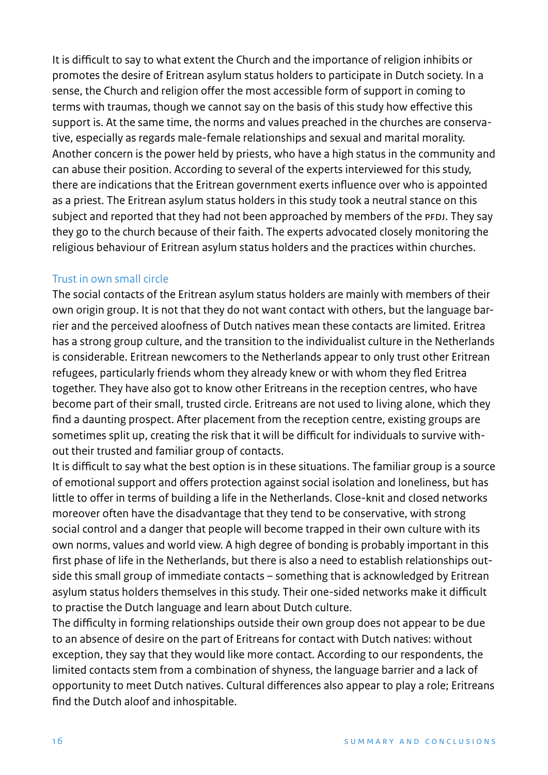It is difficult to say to what extent the Church and the importance of religion inhibits or promotes the desire of Eritrean asylum status holders to participate in Dutch society. In a sense, the Church and religion offer the most accessible form of support in coming to terms with traumas, though we cannot say on the basis of this study how effective this support is. At the same time, the norms and values preached in the churches are conservative, especially as regards male-female relationships and sexual and marital morality. Another concern is the power held by priests, who have a high status in the community and can abuse their position. According to several of the experts interviewed for this study, there are indications that the Eritrean government exerts influence over who is appointed as a priest. The Eritrean asylum status holders in this study took a neutral stance on this subject and reported that they had not been approached by members of the PFDJ. They say they go to the church because of their faith. The experts advocated closely monitoring the religious behaviour of Eritrean asylum status holders and the practices within churches.

#### Trust in own small circle

The social contacts of the Eritrean asylum status holders are mainly with members of their own origin group. It is not that they do not want contact with others, but the language barrier and the perceived aloofness of Dutch natives mean these contacts are limited. Eritrea has a strong group culture, and the transition to the individualist culture in the Netherlands is considerable. Eritrean newcomers to the Netherlands appear to only trust other Eritrean refugees, particularly friends whom they already knew or with whom they fled Eritrea together. They have also got to know other Eritreans in the reception centres, who have become part of their small, trusted circle. Eritreans are not used to living alone, which they find a daunting prospect. After placement from the reception centre, existing groups are sometimes split up, creating the risk that it will be difficult for individuals to survive without their trusted and familiar group of contacts.

It is difficult to say what the best option is in these situations. The familiar group is a source of emotional support and offers protection against social isolation and loneliness, but has little to offer in terms of building a life in the Netherlands. Close-knit and closed networks moreover often have the disadvantage that they tend to be conservative, with strong social control and a danger that people will become trapped in their own culture with its own norms, values and world view. A high degree of bonding is probably important in this first phase of life in the Netherlands, but there is also a need to establish relationships outside this small group of immediate contacts – something that is acknowledged by Eritrean asylum status holders themselves in this study. Their one-sided networks make it difficult to practise the Dutch language and learn about Dutch culture.

The difficulty in forming relationships outside their own group does not appear to be due to an absence of desire on the part of Eritreans for contact with Dutch natives: without exception, they say that they would like more contact. According to our respondents, the limited contacts stem from a combination of shyness, the language barrier and a lack of opportunity to meet Dutch natives. Cultural differences also appear to play a role; Eritreans find the Dutch aloof and inhospitable.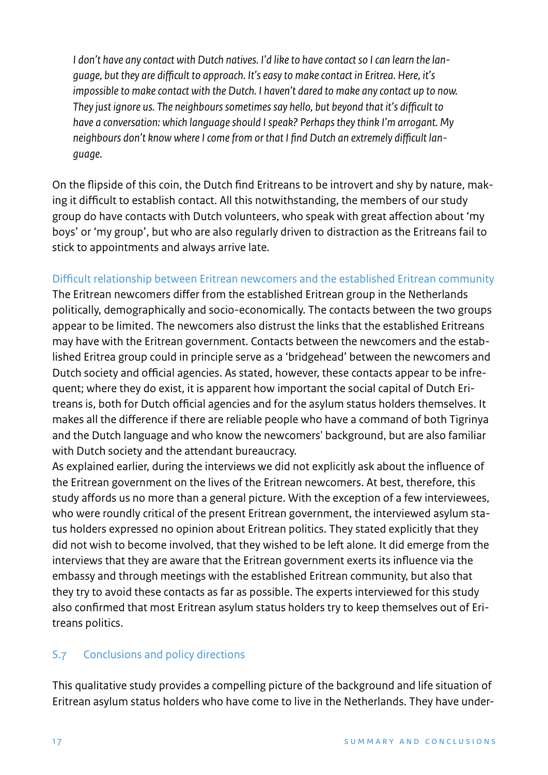*I don't have any contact with Dutch natives. I'd like to have contact so I can learn the language, but they are difficult to approach. It's easy to make contact in Eritrea. Here, it's impossible to make contact with the Dutch. I haven't dared to make any contact up to now. They just ignore us. The neighbours sometimes say hello, but beyond that it's difficult to have a conversation: which language should I speak? Perhaps they think I'm arrogant. My neighbours don't know where I come from or that I find Dutch an extremely difficult language.*

On the flipside of this coin, the Dutch find Eritreans to be introvert and shy by nature, making it difficult to establish contact. All this notwithstanding, the members of our study group do have contacts with Dutch volunteers, who speak with great affection about 'my boys' or 'my group', but who are also regularly driven to distraction as the Eritreans fail to stick to appointments and always arrive late.

### Difficult relationship between Eritrean newcomers and the established Eritrean community

The Eritrean newcomers differ from the established Eritrean group in the Netherlands politically, demographically and socio-economically. The contacts between the two groups appear to be limited. The newcomers also distrust the links that the established Eritreans may have with the Eritrean government. Contacts between the newcomers and the established Eritrea group could in principle serve as a 'bridgehead' between the newcomers and Dutch society and official agencies. As stated, however, these contacts appear to be infrequent; where they do exist, it is apparent how important the social capital of Dutch Eritreans is, both for Dutch official agencies and for the asylum status holders themselves. It makes all the difference if there are reliable people who have a command of both Tigrinya and the Dutch language and who know the newcomers' background, but are also familiar with Dutch society and the attendant bureaucracy.

As explained earlier, during the interviews we did not explicitly ask about the influence of the Eritrean government on the lives of the Eritrean newcomers. At best, therefore, this study affords us no more than a general picture. With the exception of a few interviewees, who were roundly critical of the present Eritrean government, the interviewed asylum status holders expressed no opinion about Eritrean politics. They stated explicitly that they did not wish to become involved, that they wished to be left alone. It did emerge from the interviews that they are aware that the Eritrean government exerts its influence via the embassy and through meetings with the established Eritrean community, but also that they try to avoid these contacts as far as possible. The experts interviewed for this study also confirmed that most Eritrean asylum status holders try to keep themselves out of Eritreans politics.

# S.7 Conclusions and policy directions

This qualitative study provides a compelling picture of the background and life situation of Eritrean asylum status holders who have come to live in the Netherlands. They have under-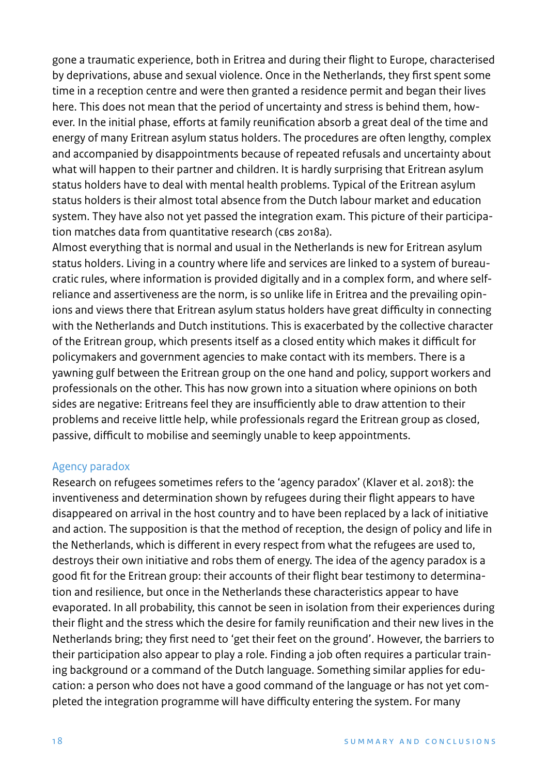gone a traumatic experience, both in Eritrea and during their flight to Europe, characterised by deprivations, abuse and sexual violence. Once in the Netherlands, they first spent some time in a reception centre and were then granted a residence permit and began their lives here. This does not mean that the period of uncertainty and stress is behind them, however. In the initial phase, efforts at family reunification absorb a great deal of the time and energy of many Eritrean asylum status holders. The procedures are often lengthy, complex and accompanied by disappointments because of repeated refusals and uncertainty about what will happen to their partner and children. It is hardly surprising that Eritrean asylum status holders have to deal with mental health problems. Typical of the Eritrean asylum status holders is their almost total absence from the Dutch labour market and education system. They have also not yet passed the integration exam. This picture of their participation matches data from quantitative research (CBS 2018a).

Almost everything that is normal and usual in the Netherlands is new for Eritrean asylum status holders. Living in a country where life and services are linked to a system of bureaucratic rules, where information is provided digitally and in a complex form, and where selfreliance and assertiveness are the norm, is so unlike life in Eritrea and the prevailing opinions and views there that Eritrean asylum status holders have great difficulty in connecting with the Netherlands and Dutch institutions. This is exacerbated by the collective character of the Eritrean group, which presents itself as a closed entity which makes it difficult for policymakers and government agencies to make contact with its members. There is a yawning gulf between the Eritrean group on the one hand and policy, support workers and professionals on the other. This has now grown into a situation where opinions on both sides are negative: Eritreans feel they are insufficiently able to draw attention to their problems and receive little help, while professionals regard the Eritrean group as closed, passive, difficult to mobilise and seemingly unable to keep appointments.

#### Agency paradox

Research on refugees sometimes refers to the 'agency paradox' (Klaver et al. 2018): the inventiveness and determination shown by refugees during their flight appears to have disappeared on arrival in the host country and to have been replaced by a lack of initiative and action. The supposition is that the method of reception, the design of policy and life in the Netherlands, which is different in every respect from what the refugees are used to, destroys their own initiative and robs them of energy. The idea of the agency paradox is a good fit for the Eritrean group: their accounts of their flight bear testimony to determination and resilience, but once in the Netherlands these characteristics appear to have evaporated. In all probability, this cannot be seen in isolation from their experiences during their flight and the stress which the desire for family reunification and their new lives in the Netherlands bring; they first need to 'get their feet on the ground'. However, the barriers to their participation also appear to play a role. Finding a job often requires a particular training background or a command of the Dutch language. Something similar applies for education: a person who does not have a good command of the language or has not yet completed the integration programme will have difficulty entering the system. For many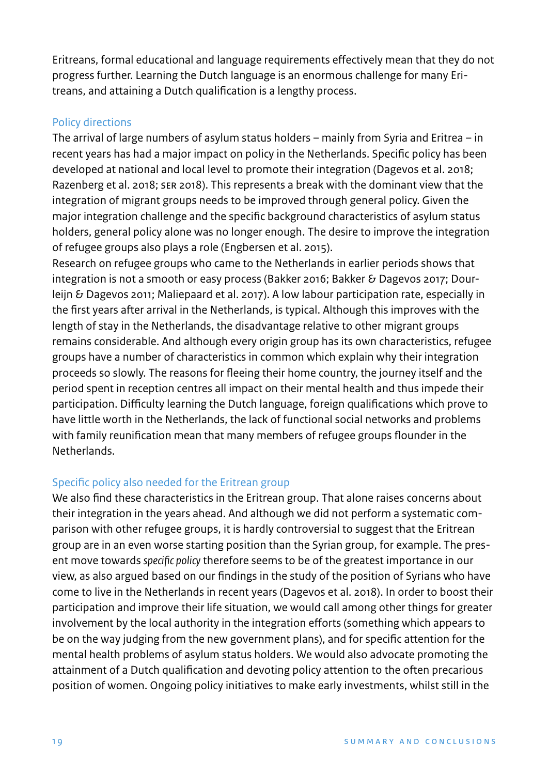Eritreans, formal educational and language requirements effectively mean that they do not progress further. Learning the Dutch language is an enormous challenge for many Eritreans, and attaining a Dutch qualification is a lengthy process.

### Policy directions

The arrival of large numbers of asylum status holders – mainly from Syria and Eritrea – in recent years has had a major impact on policy in the Netherlands. Specific policy has been developed at national and local level to promote their integration (Dagevos et al. 2018; Razenberg et al. 2018; SeR 2018). This represents a break with the dominant view that the integration of migrant groups needs to be improved through general policy. Given the major integration challenge and the specific background characteristics of asylum status holders, general policy alone was no longer enough. The desire to improve the integration of refugee groups also plays a role (Engbersen et al. 2015).

Research on refugee groups who came to the Netherlands in earlier periods shows that integration is not a smooth or easy process (Bakker 2016; Bakker & Dagevos 2017; Dourleijn & Dagevos 2011; Maliepaard et al. 2017). A low labour participation rate, especially in the first years after arrival in the Netherlands, is typical. Although this improves with the length of stay in the Netherlands, the disadvantage relative to other migrant groups remains considerable. And although every origin group has its own characteristics, refugee groups have a number of characteristics in common which explain why their integration proceeds so slowly. The reasons for fleeing their home country, the journey itself and the period spent in reception centres all impact on their mental health and thus impede their participation. Difficulty learning the Dutch language, foreign qualifications which prove to have little worth in the Netherlands, the lack of functional social networks and problems with family reunification mean that many members of refugee groups flounder in the Netherlands.

# Specific policy also needed for the Eritrean group

We also find these characteristics in the Eritrean group. That alone raises concerns about their integration in the years ahead. And although we did not perform a systematic comparison with other refugee groups, it is hardly controversial to suggest that the Eritrean group are in an even worse starting position than the Syrian group, for example. The present move towards *specific policy* therefore seems to be of the greatest importance in our view, as also argued based on our findings in the study of the position of Syrians who have come to live in the Netherlands in recent years (Dagevos et al. 2018). In order to boost their participation and improve their life situation, we would call among other things for greater involvement by the local authority in the integration efforts (something which appears to be on the way judging from the new government plans), and for specific attention for the mental health problems of asylum status holders. We would also advocate promoting the attainment of a Dutch qualification and devoting policy attention to the often precarious position of women. Ongoing policy initiatives to make early investments, whilst still in the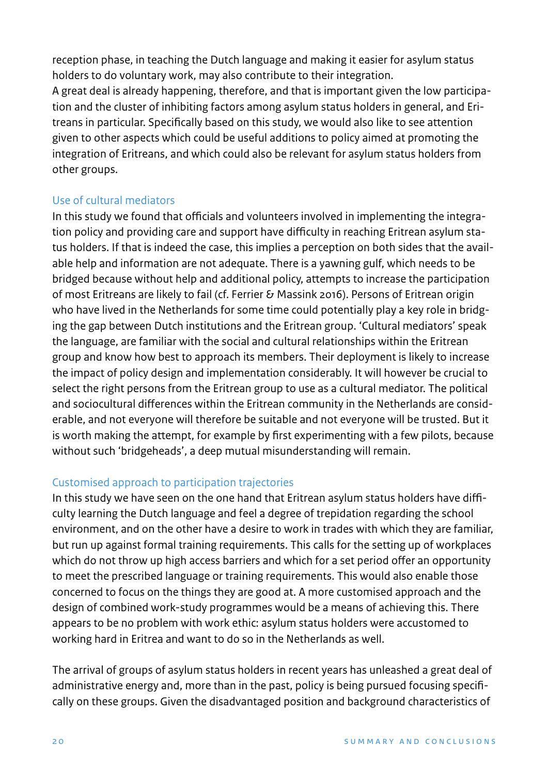reception phase, in teaching the Dutch language and making it easier for asylum status holders to do voluntary work, may also contribute to their integration.

A great deal is already happening, therefore, and that is important given the low participation and the cluster of inhibiting factors among asylum status holders in general, and Eritreans in particular. Specifically based on this study, we would also like to see attention given to other aspects which could be useful additions to policy aimed at promoting the integration of Eritreans, and which could also be relevant for asylum status holders from other groups.

# Use of cultural mediators

In this study we found that officials and volunteers involved in implementing the integration policy and providing care and support have difficulty in reaching Eritrean asylum status holders. If that is indeed the case, this implies a perception on both sides that the available help and information are not adequate. There is a yawning gulf, which needs to be bridged because without help and additional policy, attempts to increase the participation of most Eritreans are likely to fail (cf. Ferrier & Massink 2016). Persons of Eritrean origin who have lived in the Netherlands for some time could potentially play a key role in bridging the gap between Dutch institutions and the Eritrean group. 'Cultural mediators' speak the language, are familiar with the social and cultural relationships within the Eritrean group and know how best to approach its members. Their deployment is likely to increase the impact of policy design and implementation considerably. It will however be crucial to select the right persons from the Eritrean group to use as a cultural mediator. The political and sociocultural differences within the Eritrean community in the Netherlands are considerable, and not everyone will therefore be suitable and not everyone will be trusted. But it is worth making the attempt, for example by first experimenting with a few pilots, because without such 'bridgeheads', a deep mutual misunderstanding will remain.

# Customised approach to participation trajectories

In this study we have seen on the one hand that Eritrean asylum status holders have difficulty learning the Dutch language and feel a degree of trepidation regarding the school environment, and on the other have a desire to work in trades with which they are familiar, but run up against formal training requirements. This calls for the setting up of workplaces which do not throw up high access barriers and which for a set period offer an opportunity to meet the prescribed language or training requirements. This would also enable those concerned to focus on the things they are good at. A more customised approach and the design of combined work-study programmes would be a means of achieving this. There appears to be no problem with work ethic: asylum status holders were accustomed to working hard in Eritrea and want to do so in the Netherlands as well.

The arrival of groups of asylum status holders in recent years has unleashed a great deal of administrative energy and, more than in the past, policy is being pursued focusing specifically on these groups. Given the disadvantaged position and background characteristics of